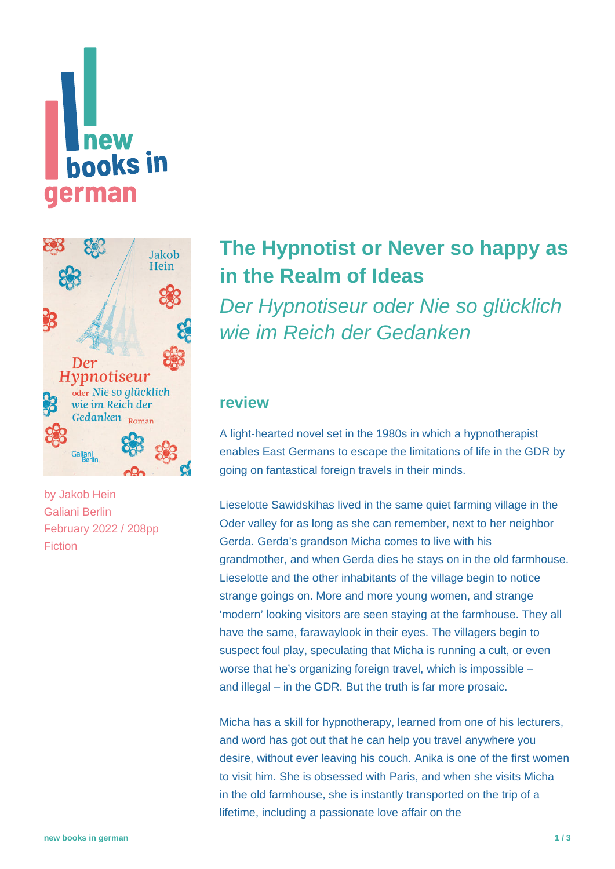



by [Jakob Hein](https://www.new-books-in-german.com/recommendations/?searchInput=Jakob%20Hein) Galiani Berlin February 2022 / 208pp Fiction

## **[The Hypnotist or Never so happy as](https://www.new-books-in-german.com/recommendations/the-hypnotist-or-never-so-happy-as-in-the-realm-of-ideas/) [in the Realm of Ideas](https://www.new-books-in-german.com/recommendations/the-hypnotist-or-never-so-happy-as-in-the-realm-of-ideas/)**

Der Hypnotiseur oder Nie so glücklich wie im Reich der Gedanken

## **review**

A light-hearted novel set in the 1980s in which a hypnotherapist enables East Germans to escape the limitations of life in the GDR by going on fantastical foreign travels in their minds.

Lieselotte Sawidskihas lived in the same quiet farming village in the Oder valley for as long as she can remember, next to her neighbor Gerda. Gerda's grandson Micha comes to live with his grandmother, and when Gerda dies he stays on in the old farmhouse. Lieselotte and the other inhabitants of the village begin to notice strange goings on. More and more young women, and strange 'modern' looking visitors are seen staying at the farmhouse. They all have the same, farawaylook in their eyes. The villagers begin to suspect foul play, speculating that Micha is running a cult, or even worse that he's organizing foreign travel, which is impossible – and illegal – in the GDR. But the truth is far more prosaic.

Micha has a skill for hypnotherapy, learned from one of his lecturers, and word has got out that he can help you travel anywhere you desire, without ever leaving his couch. Anika is one of the first women to visit him. She is obsessed with Paris, and when she visits Micha in the old farmhouse, she is instantly transported on the trip of a lifetime, including a passionate love affair on the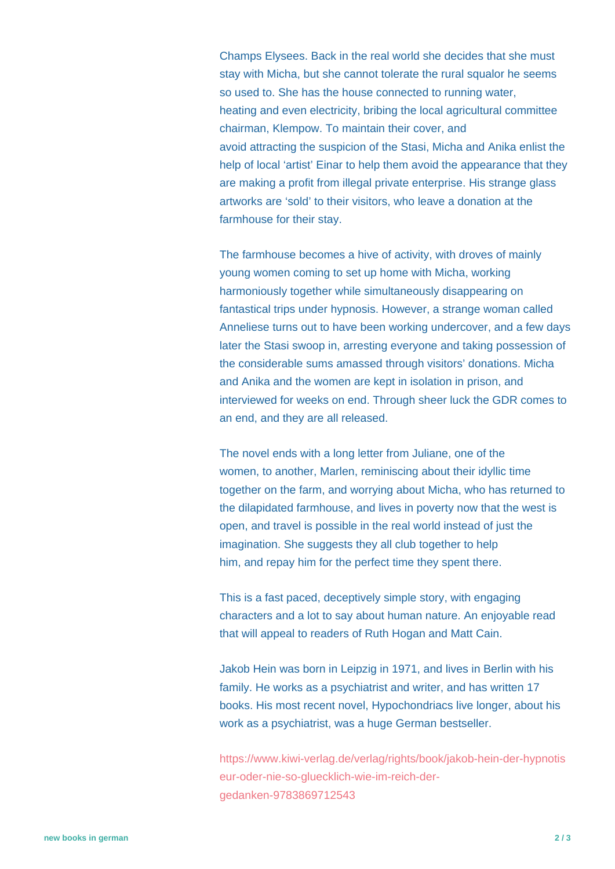Champs Elysees. Back in the real world she decides that she must stay with Micha, but she cannot tolerate the rural squalor he seems so used to. She has the house connected to running water, heating and even electricity, bribing the local agricultural committee chairman, Klempow. To maintain their cover, and avoid attracting the suspicion of the Stasi, Micha and Anika enlist the help of local 'artist' Einar to help them avoid the appearance that they are making a profit from illegal private enterprise. His strange glass artworks are 'sold' to their visitors, who leave a donation at the farmhouse for their stay.

The farmhouse becomes a hive of activity, with droves of mainly young women coming to set up home with Micha, working harmoniously together while simultaneously disappearing on fantastical trips under hypnosis. However, a strange woman called Anneliese turns out to have been working undercover, and a few days later the Stasi swoop in, arresting everyone and taking possession of the considerable sums amassed through visitors' donations. Micha and Anika and the women are kept in isolation in prison, and interviewed for weeks on end. Through sheer luck the GDR comes to an end, and they are all released.

The novel ends with a long letter from Juliane, one of the women, to another, Marlen, reminiscing about their idyllic time together on the farm, and worrying about Micha, who has returned to the dilapidated farmhouse, and lives in poverty now that the west is open, and travel is possible in the real world instead of just the imagination. She suggests they all club together to help him, and repay him for the perfect time they spent there.

This is a fast paced, deceptively simple story, with engaging characters and a lot to say about human nature. An enjoyable read that will appeal to readers of Ruth Hogan and Matt Cain.

Jakob Hein was born in Leipzig in 1971, and lives in Berlin with his family. He works as a psychiatrist and writer, and has written 17 books. His most recent novel, Hypochondriacs live longer, about his work as a psychiatrist, was a huge German bestseller.

[https://www.kiwi-verlag.de/verlag/rights/book/jakob-hein-der-hypnotis](https://www.kiwi-verlag.de/verlag/rights/book/jakob-hein-der-hypnotiseur-oder-nie-so-gluecklich-wie-im-reich-der-gedanken-9783869712543) [eur-oder-nie-so-gluecklich-wie-im-reich-der](https://www.kiwi-verlag.de/verlag/rights/book/jakob-hein-der-hypnotiseur-oder-nie-so-gluecklich-wie-im-reich-der-gedanken-9783869712543)[gedanken-9783869712543](https://www.kiwi-verlag.de/verlag/rights/book/jakob-hein-der-hypnotiseur-oder-nie-so-gluecklich-wie-im-reich-der-gedanken-9783869712543)